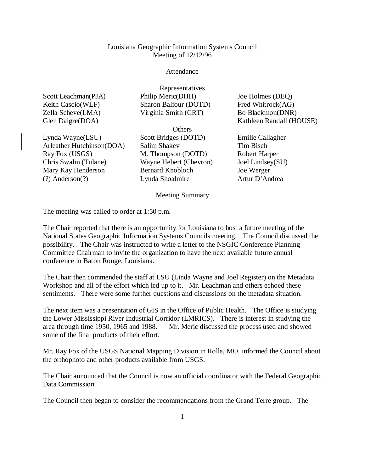## Louisiana Geographic Information Systems Council Meeting of 12/12/96

## Attendance

Representatives

Philip Meric(DHH) Sharon Balfour (DOTD) Virginia Smith (CRT)

| Scott Leachman(PJA) |  |
|---------------------|--|
| Keith Cascio(WLF)   |  |
| Zella Scheve(LMA)   |  |
| Glen Daigre(DOA)    |  |

Lynda Wayne(LSU) Arleather Hutchinson(DOA) Ray Fox (USGS) Chris Swalm (Tulane) Mary Kay Henderson (?) Anderson(?)

**Others** Scott Bridges (DOTD) Salim Shakev M. Thompson (DOTD) Wayne Hebert (Chevron) Bernard Knobloch Lynda Shoalmire

Joe Holmes (DEQ) Fred Whitrock(AG) Bo Blackmon(DNR) Kathleen Randall (HOUSE)

Emilie Callagher Tim Bisch Robert Harper Joel Lindsey(SU) Joe Werger Artur D'Andrea

Meeting Summary

The meeting was called to order at 1:50 p.m.

The Chair reported that there is an opportunity for Louisiana to host a future meeting of the National States Geographic Information Systems Councils meeting. The Council discussed the possibility. The Chair was instructed to write a letter to the NSGIC Conference Planning Committee Chairman to invite the organization to have the next available future annual conference in Baton Rouge, Louisiana.

The Chair then commended the staff at LSU (Linda Wayne and Joel Register) on the Metadata Workshop and all of the effort which led up to it. Mr. Leachman and others echoed these sentiments. There were some further questions and discussions on the metadata situation.

The next item was a presentation of GIS in the Office of Public Health. The Office is studying the Lower Mississippi River Industrial Corridor (LMRICS). There is interest in studying the area through time 1950, 1965 and 1988. Mr. Meric discussed the process used and showed some of the final products of their effort.

Mr. Ray Fox of the USGS National Mapping Division in Rolla, MO. informed the Council about the orthophoto and other products available from USGS.

The Chair announced that the Council is now an official coordinator with the Federal Geographic Data Commission.

The Council then began to consider the recommendations from the Grand Terre group. The